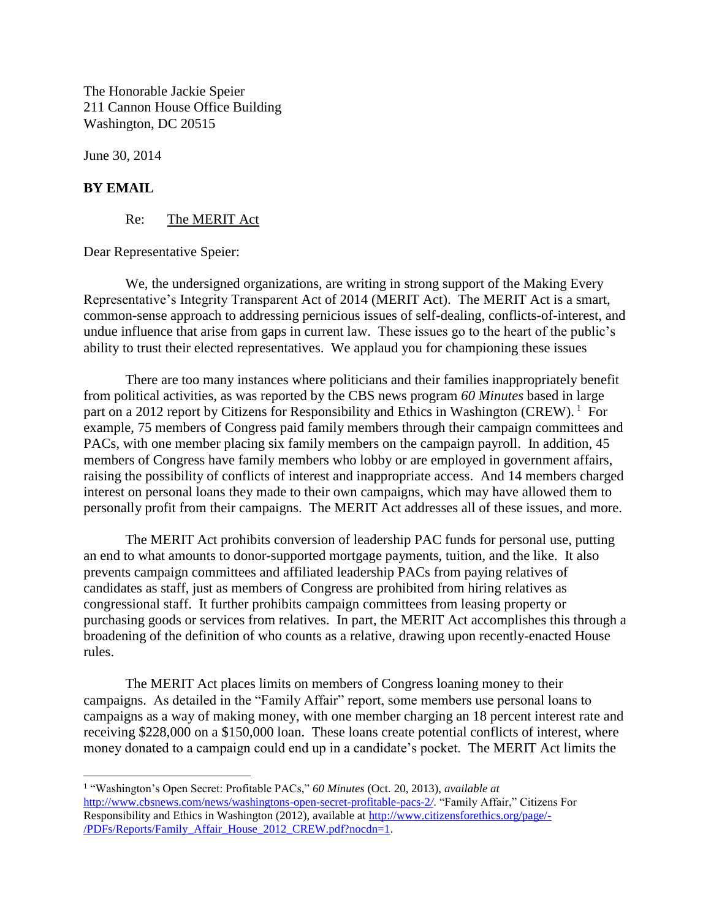The Honorable Jackie Speier 211 Cannon House Office Building Washington, DC 20515

June 30, 2014

## **BY EMAIL**

 $\overline{\phantom{a}}$ 

Re: The MERIT Act

Dear Representative Speier:

We, the undersigned organizations, are writing in strong support of the Making Every Representative's Integrity Transparent Act of 2014 (MERIT Act). The MERIT Act is a smart, common-sense approach to addressing pernicious issues of self-dealing, conflicts-of-interest, and undue influence that arise from gaps in current law. These issues go to the heart of the public's ability to trust their elected representatives. We applaud you for championing these issues

There are too many instances where politicians and their families inappropriately benefit from political activities, as was reported by the CBS news program *60 Minutes* based in large part on a 2012 report by Citizens for Responsibility and Ethics in Washington (CREW).<sup>1</sup> For example, 75 members of Congress paid family members through their campaign committees and PACs, with one member placing six family members on the campaign payroll. In addition, 45 members of Congress have family members who lobby or are employed in government affairs, raising the possibility of conflicts of interest and inappropriate access. And 14 members charged interest on personal loans they made to their own campaigns, which may have allowed them to personally profit from their campaigns. The MERIT Act addresses all of these issues, and more.

The MERIT Act prohibits conversion of leadership PAC funds for personal use, putting an end to what amounts to donor-supported mortgage payments, tuition, and the like. It also prevents campaign committees and affiliated leadership PACs from paying relatives of candidates as staff, just as members of Congress are prohibited from hiring relatives as congressional staff. It further prohibits campaign committees from leasing property or purchasing goods or services from relatives. In part, the MERIT Act accomplishes this through a broadening of the definition of who counts as a relative, drawing upon recently-enacted House rules.

The MERIT Act places limits on members of Congress loaning money to their campaigns. As detailed in the "Family Affair" report, some members use personal loans to campaigns as a way of making money, with one member charging an 18 percent interest rate and receiving \$228,000 on a \$150,000 loan. These loans create potential conflicts of interest, where money donated to a campaign could end up in a candidate's pocket. The MERIT Act limits the

<sup>1</sup> "Washington's Open Secret: Profitable PACs," *60 Minutes* (Oct. 20, 2013), *available at* [http://www.cbsnews.com/news/washingtons-open-secret-profitable-pacs-2](http://www.cbsnews.com/news/washingtons-open-secret-profitable-pacs-2/)*/*. "Family Affair," Citizens For Responsibility and Ethics in Washington (2012), available at [http://www.citizensforethics.org/page/-](http://www.citizensforethics.org/page/-/PDFs/Reports/Family_Affair_House_2012_CREW.pdf?nocdn=1) [/PDFs/Reports/Family\\_Affair\\_House\\_2012\\_CREW.pdf?nocdn=1.](http://www.citizensforethics.org/page/-/PDFs/Reports/Family_Affair_House_2012_CREW.pdf?nocdn=1)